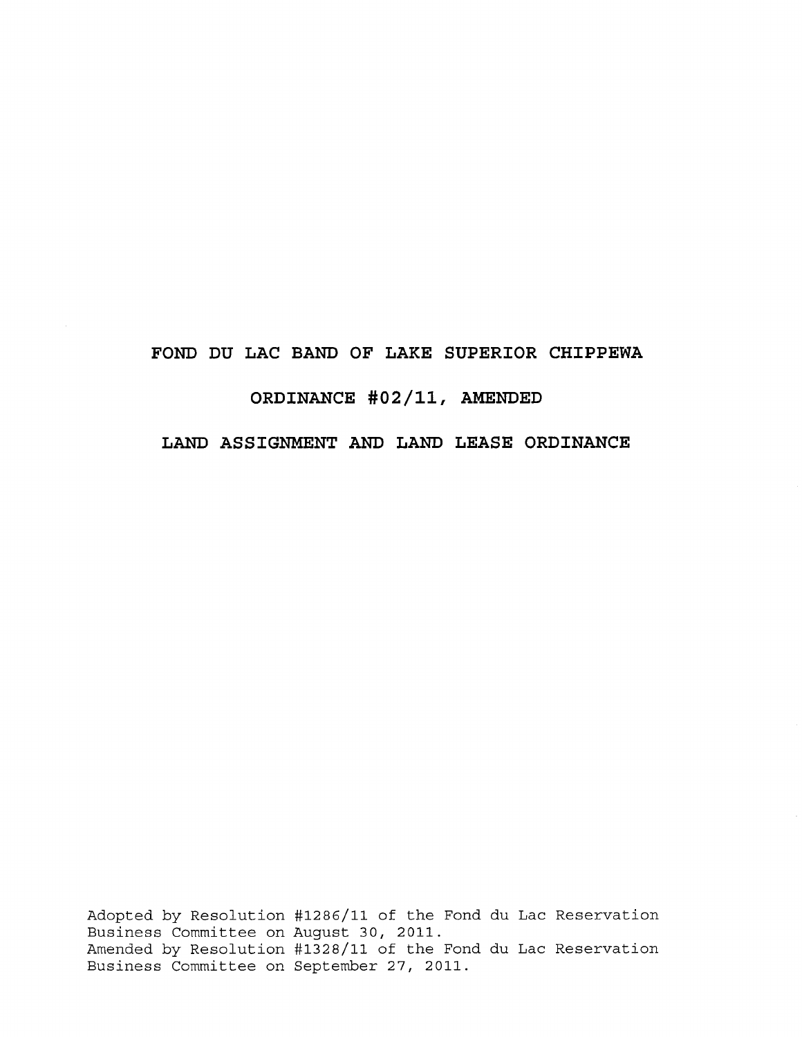# **FOND DU LAC BAND OF LAKE SUPERIOR CHIPPEWA ORDINANCE #02/11, AMENDED**

# **LAND ASSIGNMENT AND LAND LEASE ORDINANCE**

Adopted by Resolution #1286/11 of the Fond du Lac Reservation Business Committee on August 30, 2011. Amended by Resolution #1328/11 of the Fond du Lac Reservation Business Committee on September 27, 2011.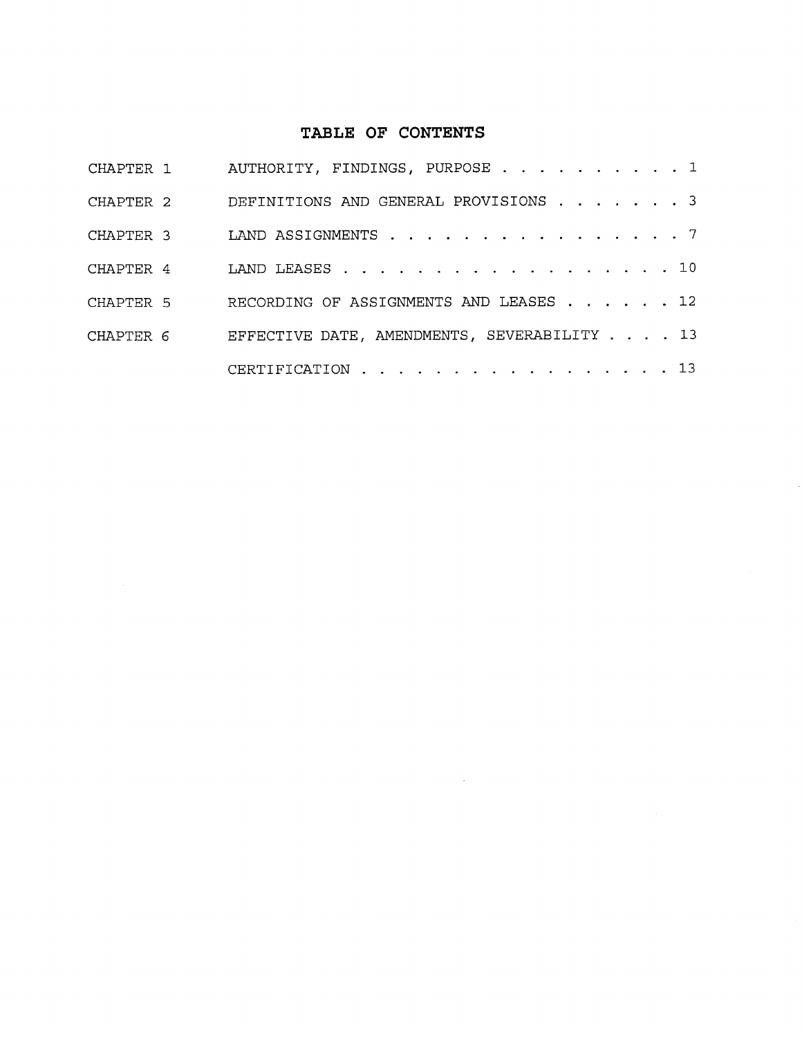# **TABLE OF CONTENTS**

|           | CHAPTER 1 AUTHORITY, FINDINGS, PURPOSE 1    |
|-----------|---------------------------------------------|
| CHAPTER 2 | DEFINITIONS AND GENERAL PROVISIONS 3        |
| CHAPTER 3 | LAND ASSIGNMENTS 7                          |
| CHAPTER 4 | LAND LEASES 10                              |
| CHAPTER 5 | RECORDING OF ASSIGNMENTS AND LEASES 12      |
| CHAPTER 6 | EFFECTIVE DATE, AMENDMENTS, SEVERABILITY 13 |
|           | CERTIFICATION 13                            |

 $\sim$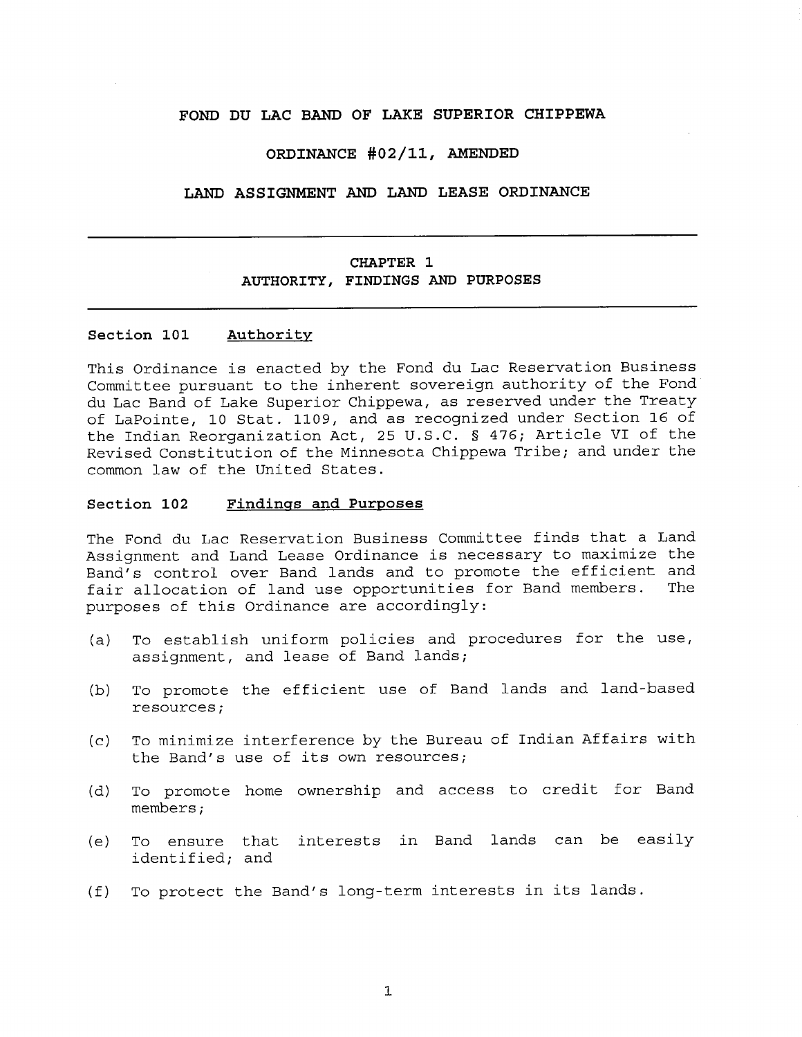#### **FOND DU LAC BAND OF LAKE SUPERIOR CHIPPEWA**

#### **ORDINANCE #02/11, AMENDED**

#### **LAND ASSIGNMENT AND LAND LEASE ORDINANCE**

# **CHAPTER 1 AUTHORITY, FINDINGS AND PURPOSES**

#### **Section 101 Authority**

This Ordinance is enacted by the Fond du Lac Reservation Business Committee pursuant to the inherent sovereign authority of the Fond du Lac Band of Lake Superior Chippewa, as reserved under the Treaty of LaPointe, 10 Stat. 1109, and as recognized under Section 16 of the Indian Reorganization Act, 25 U.S.C. § 476; Article VI of the Revised Constitution of the Minnesota Chippewa Tribe; and under the common law of the United States.

## **Section 102 Findings and Purposes**

The Fond du Lac Reservation Business Committee finds that a Land Assignment and Land Lease Ordinance is necessary to maximize the Band's control over Band lands and to promote the efficient and fair allocation of land use opportunities for Band members. The purposes of this Ordinance are accordingly:

- (a) To establish uniform policies and procedures for the use, assignment, and lease of Band lands;
- (b) To promote the efficient use of Band lands and land-based resources;
- (c) To minimize interference by the Bureau of Indian Affairs with the Band's use of its own resources;
- (d) To promote home ownership and access to credit for Band members;
- (e) To ensure that interests in Band lands can be easily identified; and
- (f) To protect the Band's long-term interests in its lands.

1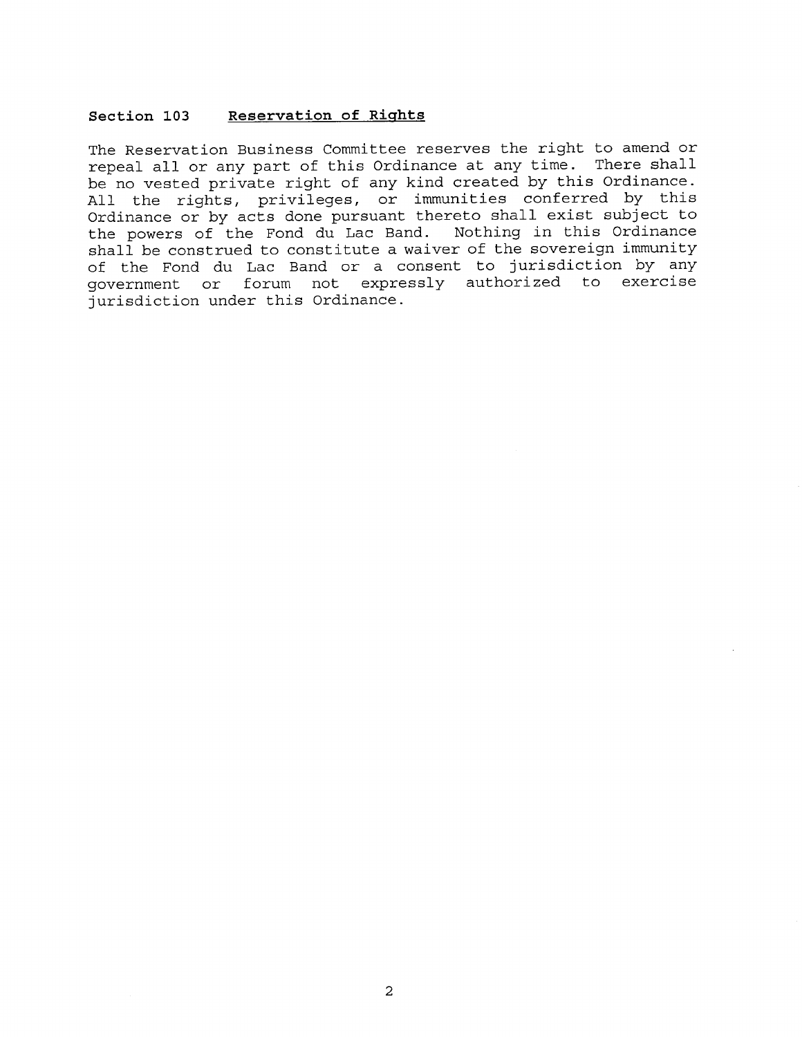#### **Section 103 Reservation of Rights**

The Reservation Business Committee reserves the right to amend or repeal all or any part of this Ordinance at any time. There shall be no vested private right of any kind created by this Ordinance. All the rights, privileges, or immunities conferred by this Ordinance or by acts done pursuant thereto shall exist subject to the powers of the Fond du Lac Band. Nothing in this Ordinance shall be construed to constitute a waiver of the sovereign immunity of the Fond du Lac Band or a consent to jurisdiction by any government or forum not expressly authorized to exercise jurisdiction under this Ordinance.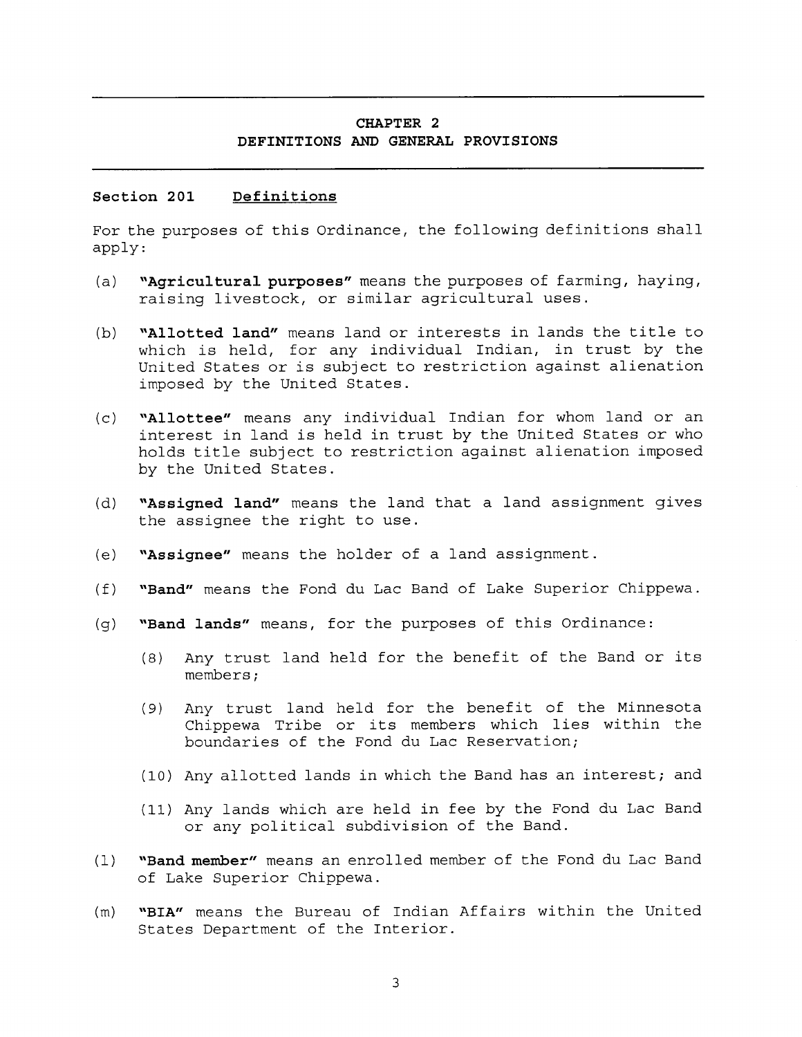## **CHAPTER 2 DEFINITIONS AND GENERAL PROVISIONS**

#### **Section 201 Definitions**

For the purposes of this Ordinance, the following definitions shall apply:

- **(a) "Agricultural purposes"** means the purposes of farming, haying, raising livestock, or similar agricultural uses.
- **(b) "Allotted land"** means land or interests in lands the title to which is held, for any individual Indian, in trust by the United States or is subject to restriction against alienation imposed by the United States.
- **(c) "Allottee"** means any individual Indian for whom land or an interest in land is held in trust by the United States or who holds title subject to restriction against alienation imposed by the United States.
- **(d) "Assigned land"** means the land that a land assignment gives the assignee the right to use.
- **(e) "Assignee"** means the holder of a land assignment.
- **(f) "Band"** means the Fond du Lac Band of Lake Superior Chippewa.
- **(g) "Band lands"** means, for the purposes of this Ordinance:
	- (8) Any trust land held for the benefit of the Band or its members;
	- (9) Any trust land held for the benefit of the Minnesota Chippewa Tribe or its members which lies within the boundaries of the Fond du Lac Reservation;
	- (10) Any allotted lands in which the Band has an interest; and
	- (11) Any lands which are held in fee by the Fond du Lac Band or any political subdivision of the Band.
- (1) **"Band member"** means an enrolled member of the Fond du Lac Band of Lake Superior Chippewa.
- (m) **"BIA"** means the Bureau of Indian Affairs within the United States Department of the Interior.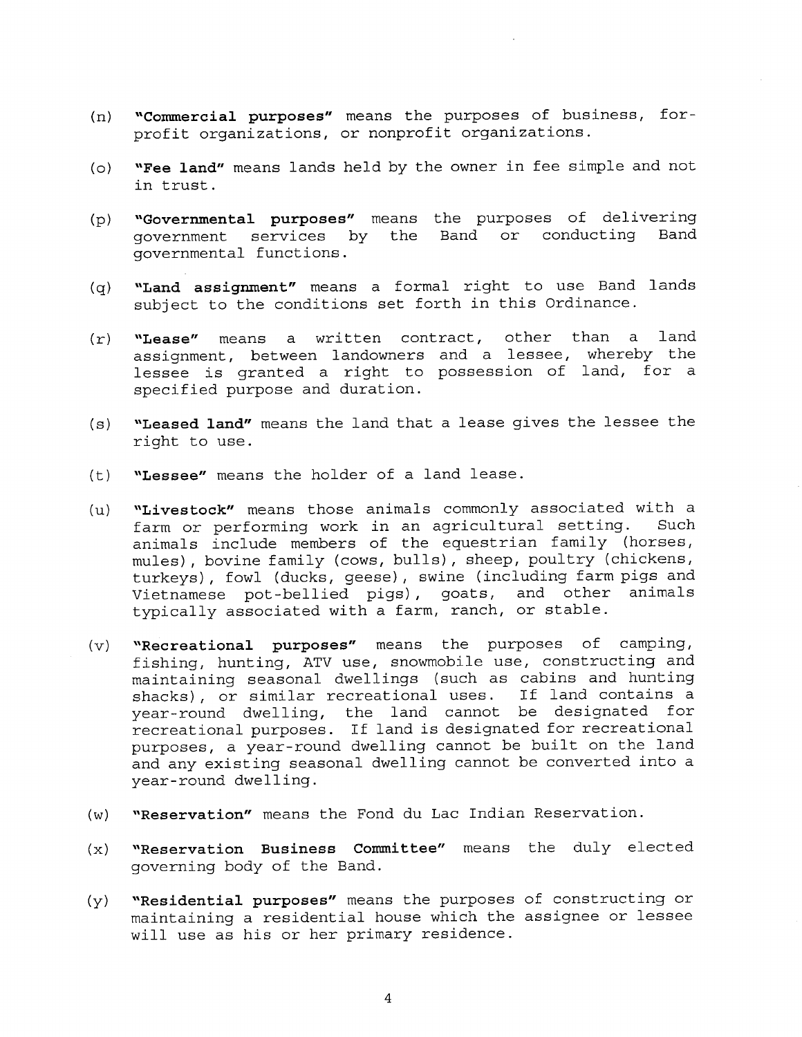- **(n) "Commercial purposes"** means the purposes of business, forprofit organizations, or nonprofit organizations.
- **(o) "Fee land"** means lands held by the owner in fee simple and not in trust.
- **(p) "Governmental purposes"** means the purposes of delivering government services by the Band or conducting Band governmental functions.
- **(q) "Land assignment"** means a formal right to use Band lands subject to the conditions set forth in this Ordinance.
- **(r) "Lease"** means a written contract, other than a land assignment, between landowners and a lessee, whereby the lessee is granted a right to possession of land, for a specified purpose and duration.
- **(s) "Leased land"** means the land that a lease gives the lessee the right to use.
- **(t) "Lessee"** means the holder of a land lease.
- **(u) "Livestock"** means those animals commonly associated with a farm or performing work in an agricultural setting. Such animals include members of the equestrian family (horses, mules), bovine family (cows, bulls), sheep, poultry (chickens, turkeys), fowl (ducks, geese), swine (including farm pigs and Vietnamese pot-bellied pigs), goats, and other animals typically associated with a farm, ranch, or stable.
- **(v) "Recreational purposes"** means the purposes of camping, fishing, hunting, ATV use, snowmobile use, constructing and maintaining seasonal dwellings (such as cabins and hunting shacks), or similar recreational uses. If land contains a year-round dwelling, the land cannot be designated for recreational purposes. If land is designated for recreational purposes, a year-round dwelling cannot be built on the land and any existing seasonal dwelling cannot be converted into a year-round dwelling.
- **(w) "Reservation"** means the Fond du Lac Indian Reservation.
- **(x) "Reservation Business Committee"** means the duly elected governing body of the Band.
- **(y) "Residential purposes"** means the purposes of constructing or maintaining a residential house which the assignee or lessee will use as his or her primary residence.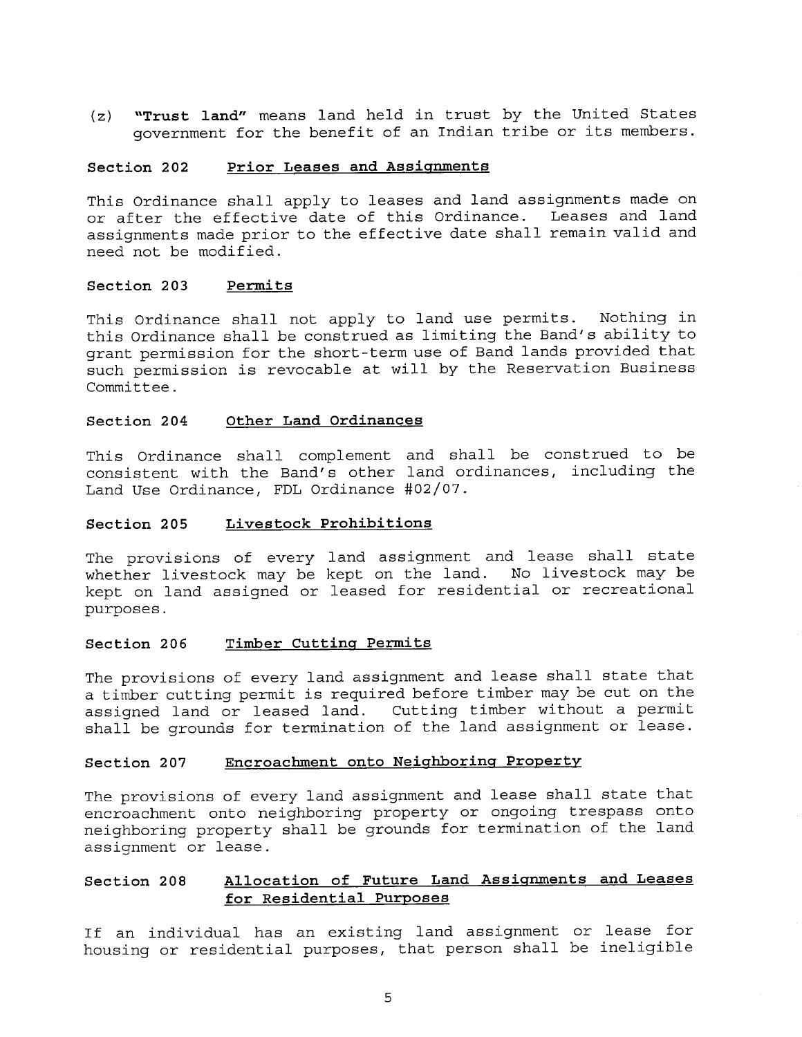**(z) "Trust land"** means land held in trust by the United States government for the benefit of an Indian tribe or its members.

#### **Section 202 Prior Leases and Assignments**

This Ordinance shall apply to leases and land assignments made on or after the effective date of this Ordinance. Leases and land assignments made prior to the effective date shall remain valid and need not be modified.

#### **Section 203 Permits**

This Ordinance shall not apply to land use permits. Nothing in this Ordinance shall be construed as limiting the Band's ability to grant permission for the short-term use of Band lands provided that such permission is revocable at will by the Reservation Business Committee.

#### **Section 204 Other Land Ordinances**

This Ordinance shall complement and shall be construed to be consistent with the Band's other land ordinances, including the Land Use Ordinance, FDL Ordinance #02/07.

#### **Section 205 Livestock Prohibitions**

The provisions of every land assignment and lease shall state whether livestock may be kept on the land. No livestock may be kept on land assigned or leased for residential or recreational purposes.

#### **Section 206 Timber Cutting Permits**

The provisions of every land assignment and lease shall state that a timber cutting permit is required before timber may be cut on the assigned land or leased land. Cutting timber without a permit shall be grounds for termination of the land assignment or lease.

## **Section 207 Encroachment onto Neighboring Property**

The provisions of every land assignment and lease shall state that encroachment onto neighboring property or ongoing trespass onto neighboring property shall be grounds for termination of the land assignment or lease.

# **Section 208 Allocation of Future Land Assignments and Leases for Residential Purposes**

If an individual has an existing land assignment or lease for housing or residential purposes, that person shall be ineligible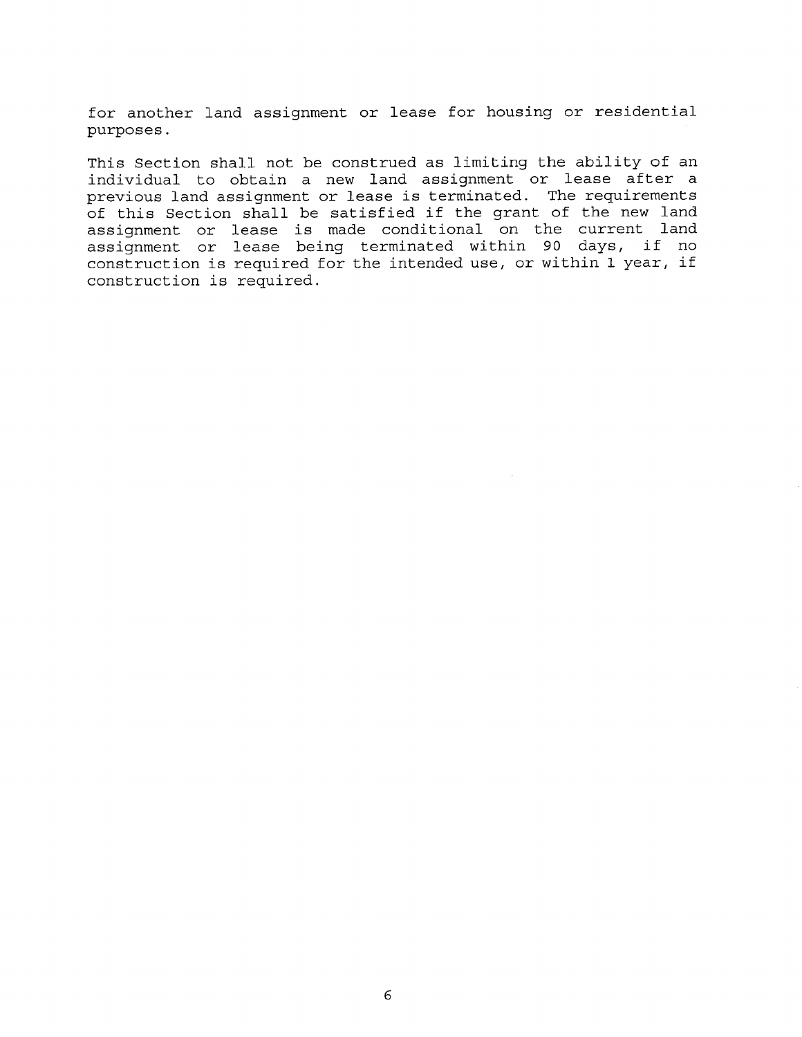for another land assignment or lease for housing or residential purposes.

This Section shall not be construed as limiting the ability of an individual to obtain a new land assignment or lease after a previous land assignment or lease is terminated. The requirements of this Section shall be satisfied if the grant of the new land assignment or lease is made conditional on the current land assignment or lease being terminated within 90 days, if no construction is required for the intended use, or within 1 year, if construction is required.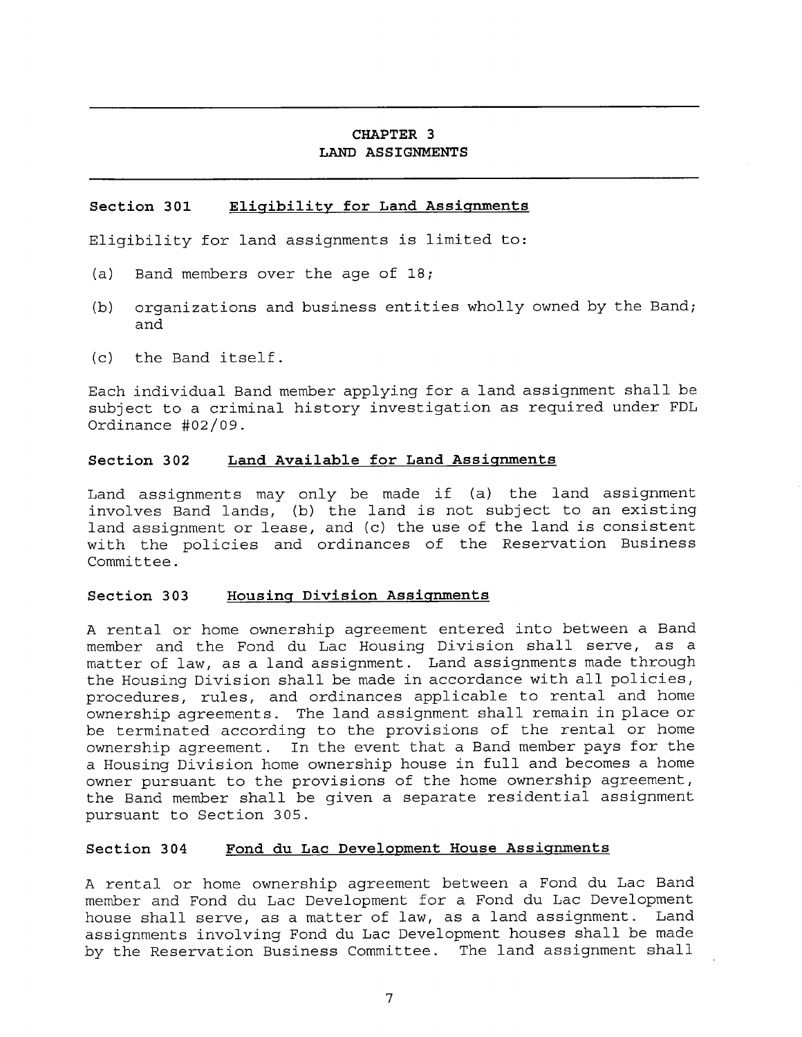# **CHAPTER 3 LAND ASSIGNMENTS**

## **Section 301 Eligibility for Land Assignments**

Eligibility for land assignments is limited to:

- (a) Band members over the age of 18;
- (b) organizations and business entities wholly owned by the Band; and
- (c) the Band itself.

Each individual Band member applying for a land assignment shall be subject to a criminal history investigation as required under FDL Ordinance 402/09.

#### **Section 302 Land Available for Land Assignments**

Land assignments may only be made if (a) the land assignment involves Band lands, (b) the land is not subject to an existing land assignment or lease, and (c) the use of the land is consistent with the policies and ordinances of the Reservation Business Committee.

#### **Section 303 Housing Division Assignments**

A rental or home ownership agreement entered into between a Band member and the Fond du Lac Housing Division shall serve, as a matter of law, as a land assignment. Land assignments made through the Housing Division shall be made in accordance with all policies, procedures, rules, and ordinances applicable to rental and home ownership agreements. The land assignment shall remain in place or be terminated according to the provisions of the rental or home ownership agreement. In the event that a Band member pays for the a Housing Division home ownership house in full and becomes a home owner pursuant to the provisions of the home ownership agreement, the Band member shall be given a separate residential assignment pursuant to Section 305.

#### **Section 304 Fond du Lac Development House Assignments**

A rental or home ownership agreement between a Fond du Lac Band member and Fond du Lac Development for a Fond du Lac Development house shall serve, as a matter of law, as a land assignment. Land assignments involving Fond du Lac Development houses shall be made by the Reservation Business Committee. The land assignment shall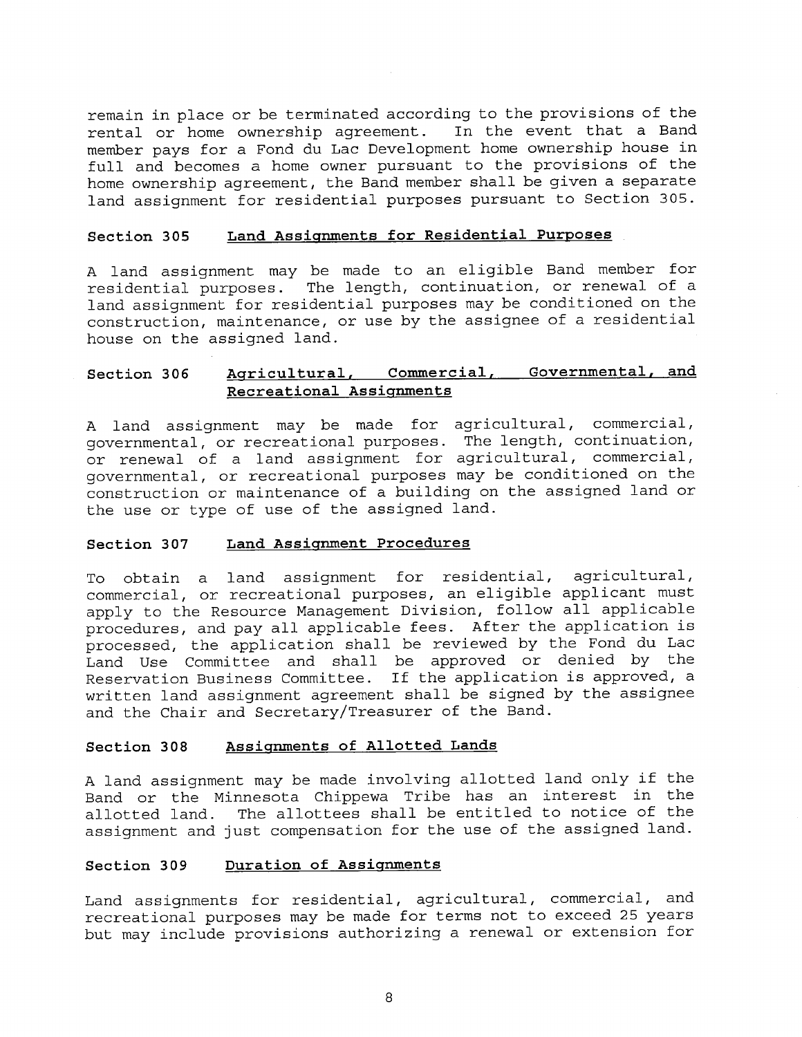remain in place or be terminated according to the provisions of the rental or home ownership agreement. In the event that a Band member pays for a Fond du Lac Development home ownership house in full and becomes a home owner pursuant to the provisions of the home ownership agreement, the Band member shall be given a separate land assignment for residential purposes pursuant to Section 305.

#### **Section 305 Land Assignments for Residential Purposes**

A land assignment may be made to an eligible Band member for residential purposes. The length, continuation, or renewal of a land assignment for residential purposes may be conditioned on the construction, maintenance, or use by the assignee of a residential house on the assigned land.

# **Section 306 Agricultural, Commercial, Governmental, and Recreational Assignments**

A land assignment may be made for agricultural, commercial, governmental, or recreational purposes. The length, continuation, or renewal of a land assignment for agricultural, commercial, governmental, or recreational purposes may be conditioned on the construction or maintenance of a building on the assigned land or the use or type of use of the assigned land.

#### **Section 307 Land Assignment Procedures**

To obtain a land assignment for residential, agricultural, commercial, or recreational purposes, an eligible applicant must apply to the Resource Management Division, follow all applicable procedures, and pay all applicable fees. After the application is processed, the application shall be reviewed by the Fond du Lac Land Use Committee and shall be approved or denied by the Reservation Business Committee. If the application is approved, a written land assignment agreement shall be signed by the assignee and the Chair and Secretary/Treasurer of the Band.

#### **Section 308 Assignments of Allotted Lands**

A land assignment may be made involving allotted land only if the Band or the Minnesota Chippewa Tribe has an interest in the allotted land. The allottees shall be entitled to notice of the assignment and just compensation for the use of the assigned land.

## **Section 309 Duration of Assignments**

Land assignments for residential, agricultural, commercial, and recreational purposes may be made for terms not to exceed 25 years but may include provisions authorizing a renewal or extension for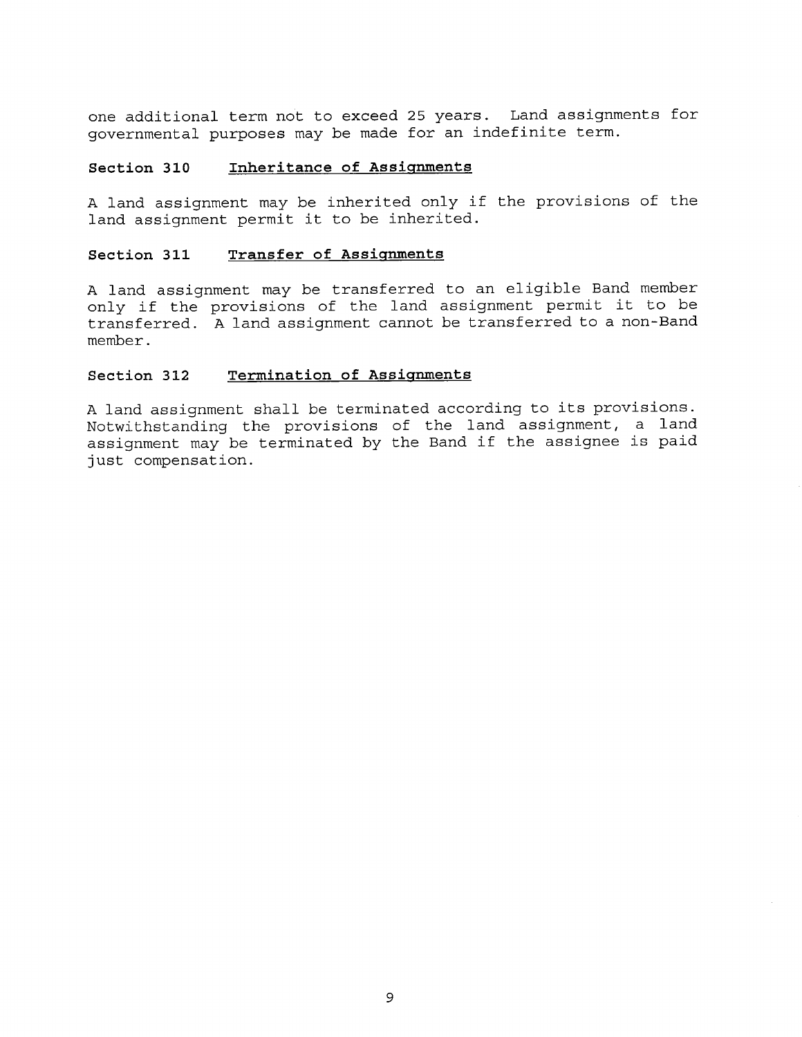one additional term not to exceed 25 years. Land assignments for governmental purposes may be made for an indefinite term.

#### **Section 310 Inheritance of Assignments**

A land assignment may be inherited only if the provisions of the land assignment permit it to be inherited.

## **Section 311 Transfer of Assignments**

A land assignment may be transferred to an eligible Band member only if the provisions of the land assignment permit it to be transferred. A land assignment cannot be transferred to a non-Band member.

## **Section 312 Termination of Assignments**

A land assignment shall be terminated according to its provisions. Notwithstanding the provisions of the land assignment, a land assignment may be terminated by the Band if the assignee is paid just compensation.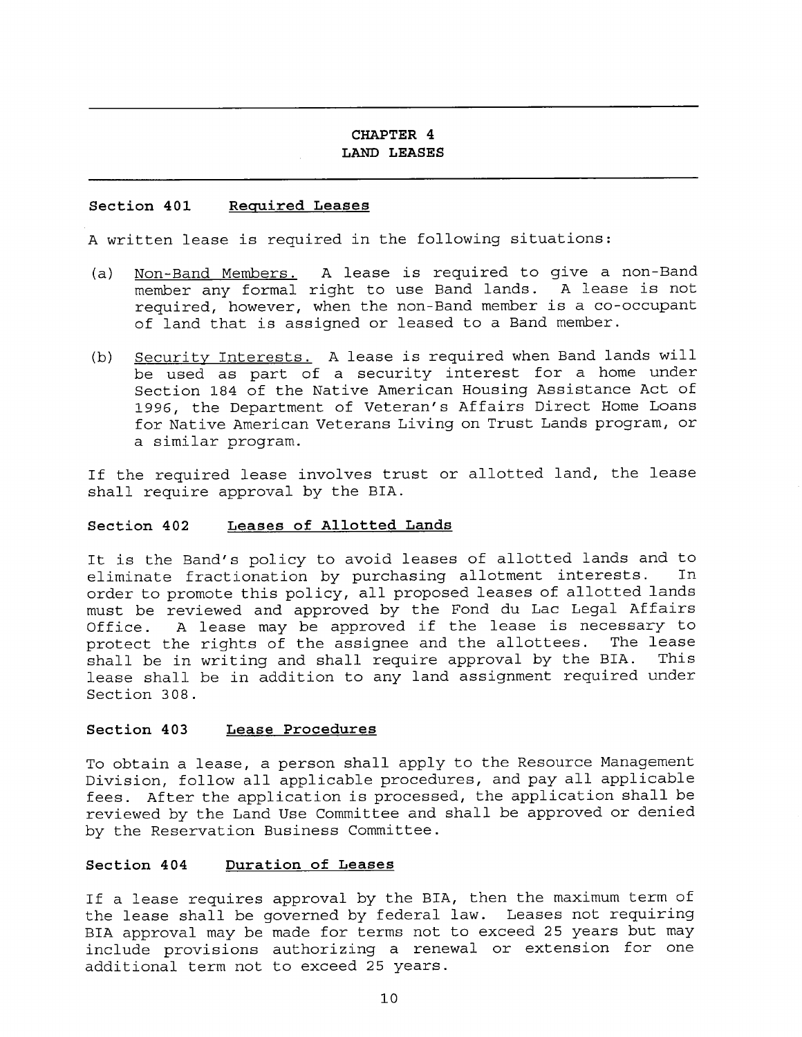#### **CHAPTER 4 LAND LEASES**

#### **Section 401 Required Leases**

A written lease is required in the following situations:

- (a) Non-Band Members. A lease is required to give a non-Band member any formal right to use Band lands. A lease is not required, however, when the non-Band member is a co-occupant of land that is assigned or leased to a Band member.
- (b) Security Interests. A lease is required when Band lands will be used as part of a security interest for a home under Section 184 of the Native American Housing Assistance Act of 1996, the Department of Veteran's Affairs Direct Home Loans for Native American Veterans Living on Trust Lands program, or a similar program.

If the required lease involves trust or allotted land, the lease shall require approval by the BIA.

#### **Section 402 Leases of Allotted Lands**

It is the Band's policy to avoid leases of allotted lands and to eliminate fractionation by purchasing allotment interests. In order to promote this policy, all proposed leases of allotted lands must be reviewed and approved by the Fond du Lac Legal Affairs Office. A lease may be approved if the lease is necessary to protect the rights of the assignee and the allottees. The lease protect the rights of the assignee and the allottees. The lease<br>shall be in writing and shall require approval by the BIA. This shall be in writing and shall require approval by the BIA. lease shall be in addition to any land assignment required under Section 308.

#### **Section 403 Lease Procedures**

To obtain a lease, a person shall apply to the Resource Management Division, follow all applicable procedures, and pay all applicable fees. After the application is processed, the application shall be reviewed by the Land Use Committee and shall be approved or denied by the Reservation Business Committee.

#### **Section 404 Duration of Leases**

If a lease requires approval by the BIA, then the maximum term of the lease shall be governed by federal law. Leases not requiring BIA approval may be made for terms not to exceed 25 years but may include provisions authorizing a renewal or extension for one additional term not to exceed 25 years.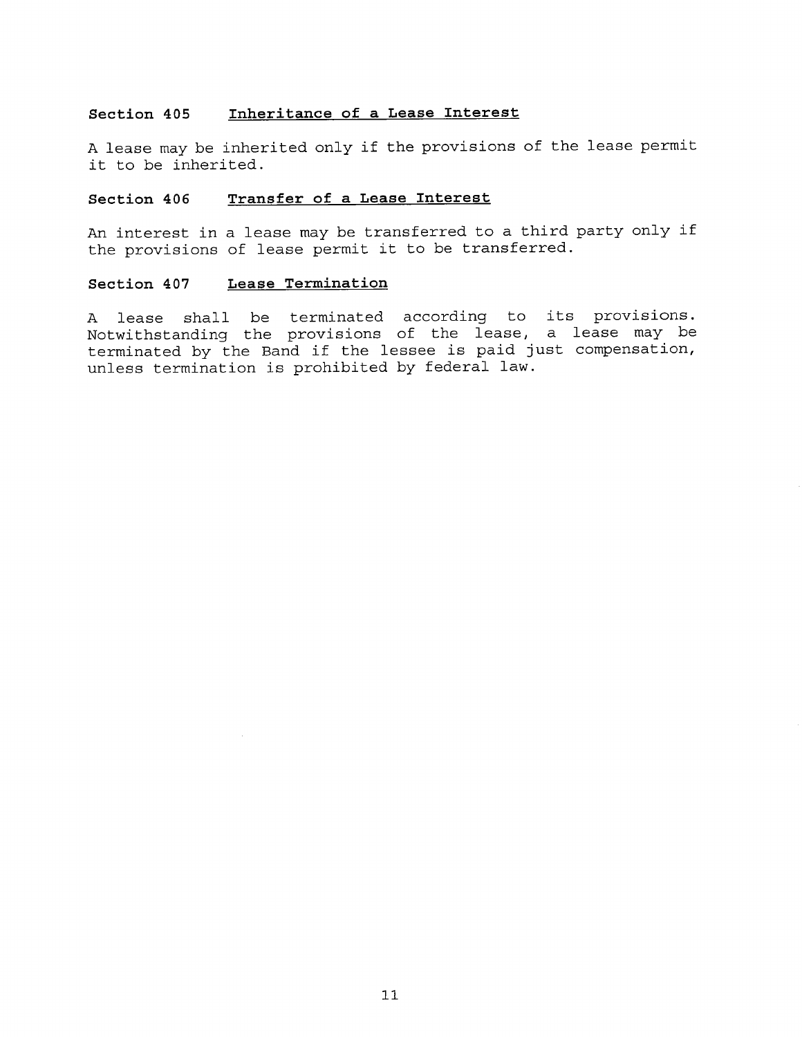## **Section 405 Inheritance of a Lease Interest**

A lease may be inherited only if the provisions of the lease permit it to be inherited.

# **Section 406 Transfer of a Lease Interest**

An interest in a lease may be transferred to a third party only if the provisions of lease permit it to be transferred.

## **Section 407 Lease Termination**

A lease shall be terminated according to its provisions. Notwithstanding the provisions of the lease, a lease may be terminated by the Band if the lessee is paid just compensation, unless termination is prohibited by federal law.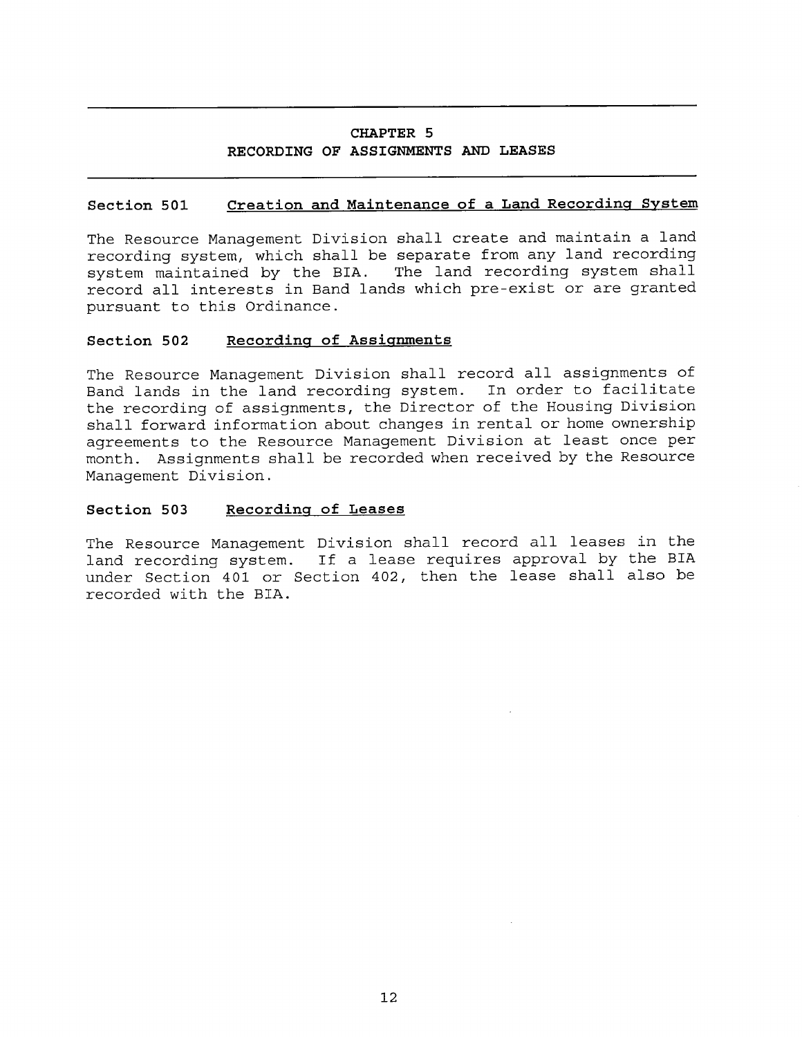# **CHAPTER 5 RECORDING OF ASSIGNMENTS AND LEASES**

## **Section 501 Creation and Maintenance of a Land Recording System**

The Resource Management Division shall create and maintain a land recording system, which shall be separate from any land recording system maintained by the BIA. The land recording system shall record all interests in Band lands which pre-exist or are granted pursuant to this Ordinance.

#### **Section 502 Recording of Assignments**

The Resource Management Division shall record all assignments of Band lands in the land recording system. In order to facilitate the recording of assignments, the Director of the Housing Division shall forward information about changes in rental or home ownership agreements to the Resource Management Division at least once per month. Assignments shall be recorded when received by the Resource Management Division.

#### **Section 503 Recording of Leases**

The Resource Management Division shall record all leases in the land recording system. If a lease requires approval by the BIA under Section 401 or Section 402, then the lease shall also be recorded with the BIA.